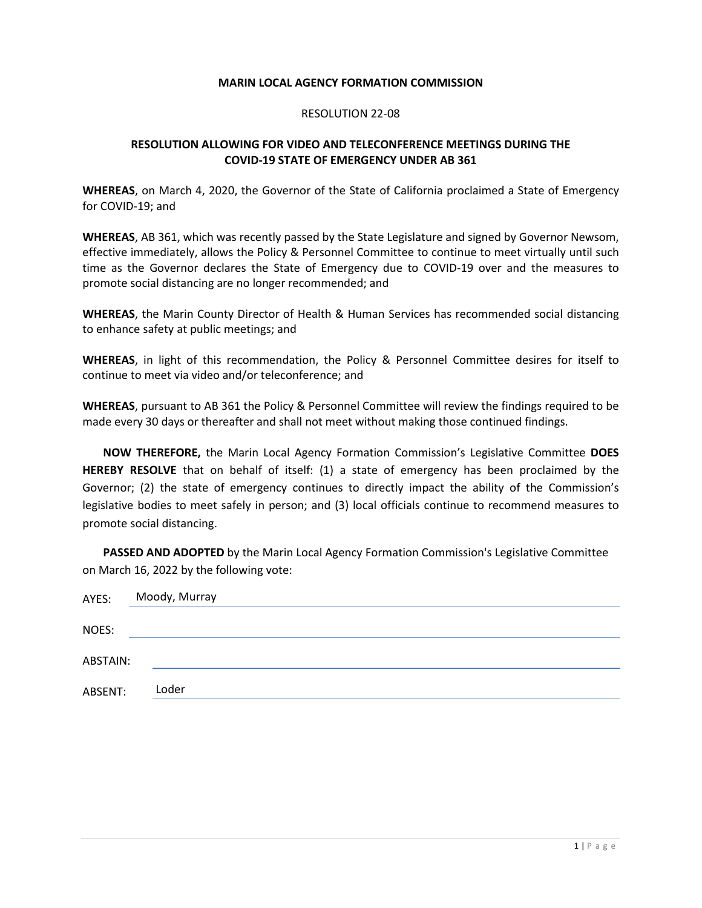## **MARIN LOCAL AGENCY FORMATION COMMISSION**

## RESOLUTION 22-08

## **RESOLUTION ALLOWING FOR VIDEO AND TELECONFERENCE MEETINGS DURING THE COVID-19 STATE OF EMERGENCY UNDER AB 361**

**WHEREAS**, on March 4, 2020, the Governor of the State of California proclaimed a State of Emergency for COVID-19; and

**WHEREAS**, AB 361, which was recently passed by the State Legislature and signed by Governor Newsom, effective immediately, allows the Policy & Personnel Committee to continue to meet virtually until such time as the Governor declares the State of Emergency due to COVID-19 over and the measures to promote social distancing are no longer recommended; and

**WHEREAS**, the Marin County Director of Health & Human Services has recommended social distancing to enhance safety at public meetings; and

**WHEREAS**, in light of this recommendation, the Policy & Personnel Committee desires for itself to continue to meet via video and/or teleconference; and

**WHEREAS**, pursuant to AB 361 the Policy & Personnel Committee will review the findings required to be made every 30 days or thereafter and shall not meet without making those continued findings.

**NOW THEREFORE,** the Marin Local Agency Formation Commission's Legislative Committee **DOES HEREBY RESOLVE** that on behalf of itself: (1) a state of emergency has been proclaimed by the Governor; (2) the state of emergency continues to directly impact the ability of the Commission's legislative bodies to meet safely in person; and (3) local officials continue to recommend measures to promote social distancing.

**PASSED AND ADOPTED** by the Marin Local Agency Formation Commission's Legislative Committee on March 16, 2022 by the following vote:

| AYES:    | Moody, Murray |
|----------|---------------|
|          |               |
| NOES:    |               |
| ABSTAIN: |               |
| ABSENT:  | Loder         |